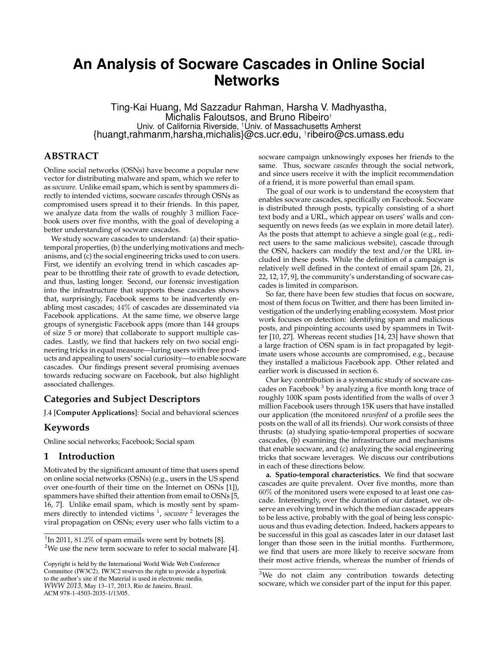# **An Analysis of Socware Cascades in Online Social Networks**

Ting-Kai Huang, Md Sazzadur Rahman, Harsha V. Madhyastha, Michalis Faloutsos, and Bruno Ribeiro† Univ. of California Riverside, †Univ. of Massachusetts Amherst {huangt,rahmanm,harsha,michalis}@cs.ucr.edu, † ribeiro@cs.umass.edu

# **ABSTRACT**

Online social networks (OSNs) have become a popular new vector for distributing malware and spam, which we refer to as *socware*. Unlike email spam, which is sent by spammers directly to intended victims, socware *cascades* through OSNs as compromised users spread it to their friends. In this paper, we analyze data from the walls of roughly 3 million Facebook users over five months, with the goal of developing a better understanding of socware cascades.

We study socware cascades to understand: (a) their spatiotemporal properties, (b) the underlying motivations and mechanisms, and (c) the social engineering tricks used to con users. First, we identify an evolving trend in which cascades appear to be throttling their rate of growth to evade detection, and thus, lasting longer. Second, our forensic investigation into the infrastructure that supports these cascades shows that, surprisingly, Facebook seems to be inadvertently enabling most cascades; 44% of cascades are disseminated via Facebook applications. At the same time, we observe large groups of synergistic Facebook apps (more than 144 groups of size 5 or more) that collaborate to support multiple cascades. Lastly, we find that hackers rely on two social engineering tricks in equal measure—luring users with free products and appealing to users' social curiosity—to enable socware cascades. Our findings present several promising avenues towards reducing socware on Facebook, but also highlight associated challenges.

## **Categories and Subject Descriptors**

J.4 [**Computer Applications**]: Social and behavioral sciences

## **Keywords**

Online social networks; Facebook; Social spam

## **1 Introduction**

Motivated by the significant amount of time that users spend on online social networks (OSNs) (e.g., users in the US spend over one-fourth of their time on the Internet on OSNs [1]), spammers have shifted their attention from email to OSNs [5, 16, 7]. Unlike email spam, which is mostly sent by spammers directly to intended victims <sup>1</sup>, socware <sup>2</sup> leverages the viral propagation on OSNs; every user who falls victim to a socware campaign unknowingly exposes her friends to the same. Thus, socware *cascades* through the social network, and since users receive it with the implicit recommendation of a friend, it is more powerful than email spam.

The goal of our work is to understand the ecosystem that enables socware cascades, specifically on Facebook. Socware is distributed through posts, typically consisting of a short text body and a URL, which appear on users' walls and consequently on news feeds (as we explain in more detail later). As the posts that attempt to achieve a single goal (e.g., redirect users to the same malicious website), cascade through the OSN, hackers can modify the text and/or the URL included in these posts. While the definition of a campaign is relatively well defined in the context of email spam [26, 21, 22, 12, 17, 9], the community's understanding of socware cascades is limited in comparison.

So far, there have been few studies that focus on socware, most of them focus on Twitter, and there has been limited investigation of the underlying enabling ecosystem. Most prior work focuses on detection: identifying spam and malicious posts, and pinpointing accounts used by spammers in Twitter [10, 27]. Whereas recent studies [14, 23] have shown that a large fraction of OSN spam is in fact propagated by legitimate users whose accounts are compromised, e.g., because they installed a malicious Facebook app. Other related and earlier work is discussed in section 6.

Our key contribution is a systematic study of socware cascades on Facebook<sup>3</sup> by analyzing a five month long trace of roughly 100K spam posts identified from the walls of over 3 million Facebook users through 15K users that have installed our application (the monitored *newsfeed* of a profile sees the posts on the wall of all its friends). Our work consists of three thrusts: (a) studying spatio-temporal properties of socware cascades, (b) examining the infrastructure and mechanisms that enable socware, and (c) analyzing the social engineering tricks that socware leverages. We discuss our contributions in each of these directions below.

**a. Spatio-temporal characteristics.** We find that socware cascades are quite prevalent. Over five months, more than 60% of the monitored users were exposed to at least one cascade. Interestingly, over the duration of our dataset, we observe an evolving trend in which the median cascade appears to be less active, probably with the goal of being less conspicuous and thus evading detection. Indeed, hackers appears to be successful in this goal as cascades later in our dataset last longer than those seen in the initial months. Furthermore, we find that users are more likely to receive socware from their most active friends, whereas the number of friends of

 $1$ In 2011, 81.2% of spam emails were sent by botnets [8]. <sup>2</sup>We use the new term socware to refer to social malware [4].

Copyright is held by the International World Wide Web Conference Committee (IW3C2). IW3C2 reserves the right to provide a hyperlink to the author's site if the Material is used in electronic media. *WWW 2013*, May 13–17, 2013, Rio de Janeiro, Brazil. ACM 978-1-4503-2035-1/13/05.

<sup>&</sup>lt;sup>3</sup>We do not claim any contribution towards detecting socware, which we consider part of the input for this paper.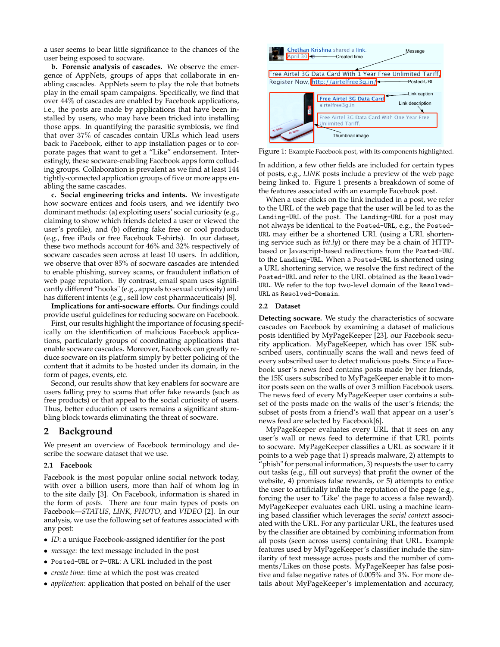a user seems to bear little significance to the chances of the user being exposed to socware.

**b. Forensic analysis of cascades.** We observe the emergence of AppNets, groups of apps that collaborate in enabling cascades. AppNets seem to play the role that botnets play in the email spam campaigns. Specifically, we find that over 44% of cascades are enabled by Facebook applications, i.e., the posts are made by applications that have been installed by users, who may have been tricked into installing those apps. In quantifying the parasitic symbiosis, we find that over 37% of cascades contain URLs which lead users back to Facebook, either to app installation pages or to corporate pages that want to get a "Like" endorsement. Interestingly, these socware-enabling Facebook apps form colluding groups. Collaboration is prevalent as we find at least 144 tightly-connected application groups of five or more apps enabling the same cascades.

**c. Social engineering tricks and intents.** We investigate how socware entices and fools users, and we identify two dominant methods: (a) exploiting users' social curiosity (e.g., claiming to show which friends deleted a user or viewed the user's profile), and (b) offering fake free or cool products (e.g., free iPads or free Facebook T-shirts). In our dataset, these two methods account for 46% and 32% respectively of socware cascades seen across at least 10 users. In addition, we observe that over 85% of socware cascades are intended to enable phishing, survey scams, or fraudulent inflation of web page reputation. By contrast, email spam uses significantly different "hooks" (e.g., appeals to sexual curiosity) and has different intents (e.g., sell low cost pharmaceuticals) [8].

**Implications for anti-socware efforts.** Our findings could provide useful guidelines for reducing socware on Facebook.

First, our results highlight the importance of focusing specifically on the identification of malicious Facebook applications, particularly groups of coordinating applications that enable socware cascades. Moreover, Facebook can greatly reduce socware on its platform simply by better policing of the content that it admits to be hosted under its domain, in the form of pages, events, etc.

Second, our results show that key enablers for socware are users falling prey to scams that offer fake rewards (such as free products) or that appeal to the social curiosity of users. Thus, better education of users remains a significant stumbling block towards eliminating the threat of socware.

## **2 Background**

We present an overview of Facebook terminology and describe the socware dataset that we use.

#### **2.1 Facebook**

Facebook is the most popular online social network today, with over a billion users, more than half of whom log in to the site daily [3]. On Facebook, information is shared in the form of *posts*. There are four main types of posts on Facebook—*STATUS*, *LINK*, *PHOTO*, and *VIDEO* [2]. In our analysis, we use the following set of features associated with any post:

- *ID*: a unique Facebook-assigned identifier for the post
- *message*: the text message included in the post
- Posted-URL or P-URL: A URL included in the post
- *create time*: time at which the post was created
- *application*: application that posted on behalf of the user



Figure 1: Example Facebook post, with its components highlighted.

In addition, a few other fields are included for certain types of posts, e.g., *LINK* posts include a preview of the web page being linked to. Figure 1 presents a breakdown of some of the features associated with an example Facebook post.

When a user clicks on the link included in a post, we refer to the URL of the web page that the user will be led to as the Landing-URL of the post. The Landing-URL for a post may not always be identical to the Posted-URL, e.g., the Posted-URL may either be a shortened URL (using a URL shortening service such as *bit.ly*) or there may be a chain of HTTPbased or Javascript-based redirections from the Posted-URL to the Landing-URL. When a Posted-URL is shortened using a URL shortening service, we resolve the first redirect of the Posted-URL and refer to the URL obtained as the Resolved-URL. We refer to the top two-level domain of the Resolved-URL as Resolved-Domain.

#### **2.2 Dataset**

**Detecting socware.** We study the characteristics of socware cascades on Facebook by examining a dataset of malicious posts identified by MyPageKeeper [23], our Facebook security application. MyPageKeeper, which has over 15K subscribed users, continually scans the wall and news feed of every subscribed user to detect malicious posts. Since a Facebook user's news feed contains posts made by her friends, the 15K users subscribed to MyPageKeeper enable it to monitor posts seen on the walls of over 3 million Facebook users. The news feed of every MyPageKeeper user contains a subset of the posts made on the walls of the user's friends; the subset of posts from a friend's wall that appear on a user's news feed are selected by Facebook[6].

MyPageKeeper evaluates every URL that it sees on any user's wall or news feed to determine if that URL points to socware. MyPageKeeper classifies a URL as socware if it points to a web page that 1) spreads malware, 2) attempts to "phish" for personal information, 3) requests the user to carry out tasks (e.g., fill out surveys) that profit the owner of the website, 4) promises false rewards, or 5) attempts to entice the user to artificially inflate the reputation of the page (e.g., forcing the user to 'Like' the page to access a false reward). MyPageKeeper evaluates each URL using a machine learning based classifier which leverages the *social context* associated with the URL. For any particular URL, the features used by the classifier are obtained by combining information from all posts (seen across users) containing that URL. Example features used by MyPageKeeper's classifier include the similarity of text message across posts and the number of comments/Likes on those posts. MyPageKeeper has false positive and false negative rates of 0.005% and 3%. For more details about MyPageKeeper's implementation and accuracy,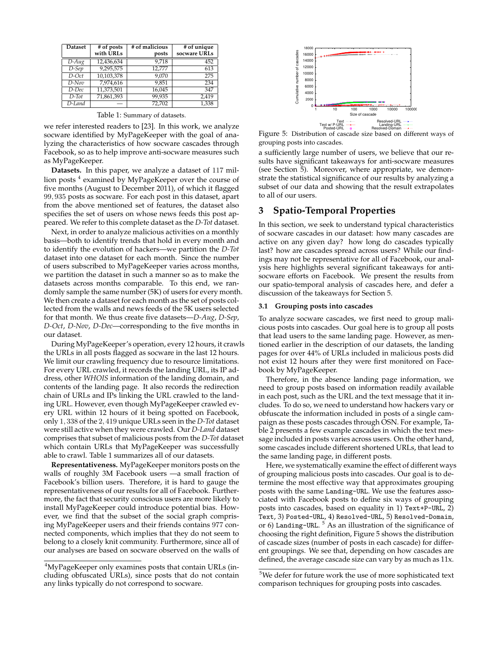| <b>Dataset</b>      | # of posts | # of malicious | # of unique  |
|---------------------|------------|----------------|--------------|
|                     | with URLs  | posts          | socware URLs |
| $\overline{D}$ -Aug | 12,436,634 | 9.718          | 452          |
| $D-Sep$             | 9,295,575  | 12.777         | 613          |
| $D$ -Oct            | 10,103,378 | 9.070          | 275          |
| $D-Nov$             | 7,974,616  | 9,851          | 234          |
| D-Dec               | 11,373,501 | 16,045         | 347          |
| $D$ -Tot            | 71,861,393 | 99,935         | 2.419        |
| D-Land              |            | 72.702         | 1,338        |

Table 1: Summary of datasets.

we refer interested readers to [23]. In this work, we analyze socware identified by MyPageKeeper with the goal of analyzing the characteristics of how socware cascades through Facebook, so as to help improve anti-socware measures such as MyPageKeeper.

**Datasets.** In this paper, we analyze a dataset of 117 million posts<sup>4</sup> examined by MyPageKeeper over the course of five months (August to December 2011), of which it flagged 99, 935 posts as socware. For each post in this dataset, apart from the above mentioned set of features, the dataset also specifies the set of users on whose news feeds this post appeared. We refer to this complete dataset as the *D-Tot* dataset.

Next, in order to analyze malicious activities on a monthly basis—both to identify trends that hold in every month and to identify the evolution of hackers—we partition the *D-Tot* dataset into one dataset for each month. Since the number of users subscribed to MyPageKeeper varies across months, we partition the dataset in such a manner so as to make the datasets across months comparable. To this end, we randomly sample the same number (5K) of users for every month. We then create a dataset for each month as the set of posts collected from the walls and news feeds of the 5K users selected for that month. We thus create five datasets—*D-Aug*, *D-Sep*, *D-Oct*, *D-Nov*, *D-Dec*—corresponding to the five months in our dataset.

During MyPageKeeper's operation, every 12 hours, it crawls the URLs in all posts flagged as socware in the last 12 hours. We limit our crawling frequency due to resource limitations. For every URL crawled, it records the landing URL, its IP address, other *WHOIS* information of the landing domain, and contents of the landing page. It also records the redirection chain of URLs and IPs linking the URL crawled to the landing URL. However, even though MyPageKeeper crawled every URL within 12 hours of it being spotted on Facebook, only 1, 338 of the 2, 419 unique URLs seen in the *D-Tot* dataset were still active when they were crawled. Our *D-Land* dataset comprises that subset of malicious posts from the *D-Tot* dataset which contain URLs that MyPageKeeper was successfully able to crawl. Table 1 summarizes all of our datasets.

**Representativeness.** MyPageKeeper monitors posts on the walls of roughly 3M Facebook users —a small fraction of Facebook's billion users. Therefore, it is hard to gauge the representativeness of our results for all of Facebook. Furthermore, the fact that security conscious users are more likely to install MyPageKeeper could introduce potential bias. However, we find that the subset of the social graph comprising MyPageKeeper users and their friends contains 977 connected components, which implies that they do not seem to belong to a closely knit community. Furthermore, since all of our analyses are based on socware observed on the walls of



Figure 5: Distribution of cascade size based on different ways of grouping posts into cascades.

a sufficiently large number of users, we believe that our results have significant takeaways for anti-socware measures (see Section 5). Moreover, where appropriate, we demonstrate the statistical significance of our results by analyzing a subset of our data and showing that the result extrapolates to all of our users.

### **3 Spatio-Temporal Properties**

In this section, we seek to understand typical characteristics of socware cascades in our dataset: how many cascades are active on any given day? how long do cascades typically last? how are cascades spread across users? While our findings may not be representative for all of Facebook, our analysis here highlights several significant takeaways for antisocware efforts on Facebook. We present the results from our spatio-temporal analysis of cascades here, and defer a discussion of the takeaways for Section 5.

#### **3.1 Grouping posts into cascades**

To analyze socware cascades, we first need to group malicious posts into cascades. Our goal here is to group all posts that lead users to the same landing page. However, as mentioned earlier in the description of our datasets, the landing pages for over 44% of URLs included in malicious posts did not exist 12 hours after they were first monitored on Facebook by MyPageKeeper.

Therefore, in the absence landing page information, we need to group posts based on information readily available in each post, such as the URL and the text message that it includes. To do so, we need to understand how hackers vary or obfuscate the information included in posts of a single campaign as these posts cascades through OSN. For example, Table 2 presents a few example cascades in which the text message included in posts varies across users. On the other hand, some cascades include different shortened URLs, that lead to the same landing page, in different posts.

Here, we systematically examine the effect of different ways of grouping malicious posts into cascades. Our goal is to determine the most effective way that approximates grouping posts with the same Landing-URL. We use the features associated with Facebook posts to define six ways of grouping posts into cascades, based on equality in 1) Text+P-URL, 2) Text, 3) Posted-URL, 4) Resolved-URL, 5) Resolved-Domain, or 6) Landing-URL.<sup>5</sup> As an illustration of the significance of choosing the right definition, Figure 5 shows the distribution of cascade sizes (number of posts in each cascade) for different groupings. We see that, depending on how cascades are defined, the average cascade size can vary by as much as 11x.

<sup>&</sup>lt;sup>4</sup>MyPageKeeper only examines posts that contain URLs (including obfuscated URLs), since posts that do not contain any links typically do not correspond to socware.

<sup>5</sup>We defer for future work the use of more sophisticated text comparison techniques for grouping posts into cascades.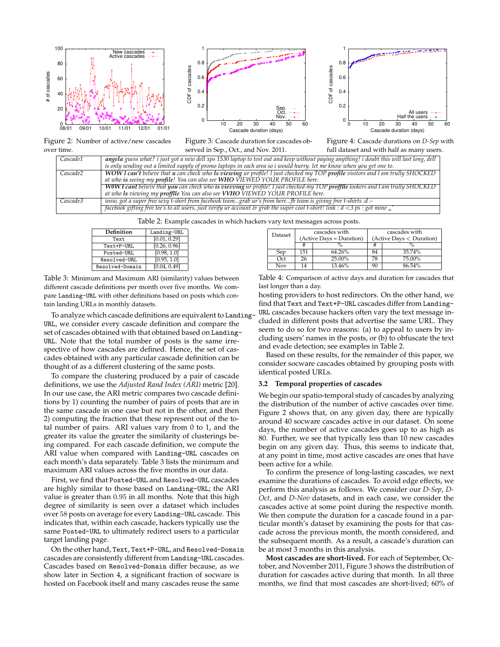





Figure 2: Number of active/new cascades over time.

Figure 3: Cascade duration for cascades observed in Sep., Oct., and Nov. 2011.

Figure 4: Cascade durations on *D-Sep* with full dataset and with half as many users.

| Cascade1             | angela guess what? i just got a new dell xps 1530 laptop to test out and keep without paying anything! i doubt this will last long, dell |
|----------------------|------------------------------------------------------------------------------------------------------------------------------------------|
|                      | is only sending out a limited supply of promo laptops in each area so i would hurry. let me know when you get one to.                    |
| Cascade2             | WOW I can't believe that u can check who Is viewing ur profile! I just checked my TOP profile visitors and I am trully SHOCKED           |
|                      | at who is seeing my profile! You can also see WHO VIEWED YOUR PROFILE here.                                                              |
|                      | WOW I cant believe that you can check who is vievving ur profile! I just checked my TOP profflle lookers and I am trully SHOCKED         |
|                      | at who Is viewing my profflle You can also see VVHO VIEWED YOUR PROFILE here.                                                            |
| Cascade <sub>3</sub> | wow, got a super free sexy t-shirt from facebook teamgrab ur's from herefb team is giving free t-shirts :d :-                            |
|                      | facebook gifting free tee's to all users, just verify ur account & grab the super cool t-shirt! link: $d < 3$ ps: got mine $\hat{ }$     |
|                      |                                                                                                                                          |

Table 2: Example cascades in which hackers vary text messages across posts.

| Definition      | Landing-URL  |
|-----------------|--------------|
| Text            | [0.01, 0.29] |
| Text+P-URL      | [0.26, 0.96] |
| Posted-URL      | [0.98, 1.0]  |
| Resolved-URL    | [0.95, 1.0]  |
| Resolved-Domain | [0.04, 0.49] |

Table 3: Minimum and Maximum ARI (similarity) values between different cascade definitions per month over five months. We compare Landing-URL with other definitions based on posts which contain landing URLs in monthly datasets.

To analyze which cascade definitions are equivalent to Landing-URL, we consider every cascade definition and compare the set of cascades obtained with that obtained based on Landing-URL. Note that the total number of posts is the same irrespective of how cascades are defined. Hence, the set of cascades obtained with any particular cascade definition can be thought of as a different clustering of the same posts.

To compare the clustering produced by a pair of cascade definitions, we use the *Adjusted Rand Index (ARI)* metric [20]. In our use case, the ARI metric compares two cascade definitions by 1) counting the number of pairs of posts that are in the same cascade in one case but not in the other, and then 2) computing the fraction that these represent out of the total number of pairs. ARI values vary from 0 to 1, and the greater its value the greater the similarity of clusterings being compared. For each cascade definition, we compute the ARI value when compared with Landing-URL cascades on each month's data separately. Table 3 lists the minimum and maximum ARI values across the five months in our data.

First, we find that Posted-URL and Resolved-URL cascades are highly similar to those based on Landing-URL; the ARI value is greater than 0.95 in all months. Note that this high degree of similarity is seen over a dataset which includes over 58 posts on average for every Landing-URL cascade. This indicates that, within each cascade, hackers typically use the same Posted-URL to ultimately redirect users to a particular target landing page.

On the other hand, Text, Text+P-URL, and Resolved-Domain cascades are consistently different from Landing-URL cascades. Cascades based on Resolved-Domain differ because, as we show later in Section 4, a significant fraction of socware is hosted on Facebook itself and many cascades reuse the same

| Table 4: Comparison of active days and duration for cascades that |  |
|-------------------------------------------------------------------|--|
| last longer than a day.                                           |  |

Dataset (Active Days = Duration) cascades with<br>  $\left(\begin{array}{c|c}\text{Active Days} & \text{cascades with}\end{array}\right)$ #  $\rightarrow$  %  $\rightarrow$  #  $\rightarrow$  % Sep 151 64.26% 84 35.74% Oct 26 25.00% 78 75.00% Nov 14 13.46% 90 86.54%

hosting providers to host redirectors. On the other hand, we find that Text and Text+P-URL cascades differ from Landing-URL cascades because hackers often vary the text message included in different posts that advertise the same URL. They seem to do so for two reasons: (a) to appeal to users by including users' names in the posts, or (b) to obfuscate the text and evade detection; see examples in Table 2.

Based on these results, for the remainder of this paper, we consider socware cascades obtained by grouping posts with identical posted URLs.

#### **3.2 Temporal properties of cascades**

We begin our spatio-temporal study of cascades by analyzing the distribution of the number of active cascades over time. Figure 2 shows that, on any given day, there are typically around 40 socware cascades active in our dataset. On some days, the number of active cascades goes up to as high as 80. Further, we see that typically less than 10 new cascades begin on any given day. Thus, this seems to indicate that, at any point in time, most active cascades are ones that have been active for a while.

To confirm the presence of long-lasting cascades, we next examine the durations of cascades. To avoid edge effects, we perform this analysis as follows. We consider our *D-Sep*, *D-Oct*, and *D-Nov* datasets, and in each case, we consider the cascades active at some point during the respective month. We then compute the duration for a cascade found in a particular month's dataset by examining the posts for that cascade across the previous month, the month considered, and the subsequent month. As a result, a cascade's duration can be at most 3 months in this analysis.

**Most cascades are short-lived.** For each of September, October, and November 2011, Figure 3 shows the distribution of duration for cascades active during that month. In all three months, we find that most cascades are short-lived; 60% of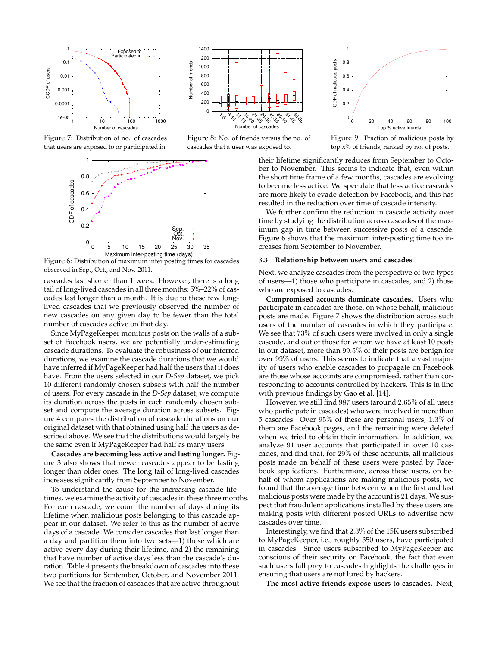

Figure 7: Distribution of no. of cascades that users are exposed to or participated in.



Figure 6: Distribution of maximum inter posting times for cascades observed in Sep., Oct., and Nov. 2011.

cascades last shorter than 1 week. However, there is a long tail of long-lived cascades in all three months; 5%–22% of cascades last longer than a month. It is due to these few longlived cascades that we previously observed the number of new cascades on any given day to be fewer than the total number of cascades active on that day.

Since MyPageKeeper monitors posts on the walls of a subset of Facebook users, we are potentially under-estimating cascade durations. To evaluate the robustness of our inferred durations, we examine the cascade durations that we would have inferred if MyPageKeeper had half the users that it does have. From the users selected in our *D-Sep* dataset, we pick 10 different randomly chosen subsets with half the number of users. For every cascade in the *D-Sep* dataset, we compute its duration across the posts in each randomly chosen subset and compute the average duration across subsets. Figure 4 compares the distribution of cascade durations on our original dataset with that obtained using half the users as described above. We see that the distributions would largely be the same even if MyPageKeeper had half as many users.

**Cascades are becoming less active and lasting longer.** Figure 3 also shows that newer cascades appear to be lasting longer than older ones. The long tail of long-lived cascades increases significantly from September to November.

To understand the cause for the increasing cascade lifetimes, we examine the activity of cascades in these three months. For each cascade, we count the number of days during its lifetime when malicious posts belonging to this cascade appear in our dataset. We refer to this as the number of active days of a cascade. We consider cascades that last longer than a day and partition them into two sets—1) those which are active every day during their lifetime, and 2) the remaining that have number of active days less than the cascade's duration. Table 4 presents the breakdown of cascades into these two partitions for September, October, and November 2011. We see that the fraction of cascades that are active throughout



Figure 8: No. of friends versus the no. of cascades that a user was exposed to.





their lifetime significantly reduces from September to October to November. This seems to indicate that, even within the short time frame of a few months, cascades are evolving to become less active. We speculate that less active cascades are more likely to evade detection by Facebook, and this has resulted in the reduction over time of cascade intensity.

We further confirm the reduction in cascade activity over time by studying the distribution across cascades of the maximum gap in time between successive posts of a cascade. Figure 6 shows that the maximum inter-posting time too increases from September to November.

#### **3.3 Relationship between users and cascades**

Next, we analyze cascades from the perspective of two types of users—1) those who participate in cascades, and 2) those who are exposed to cascades.

**Compromised accounts dominate cascades.** Users who participate in cascades are those, on whose behalf, malicious posts are made. Figure 7 shows the distribution across such users of the number of cascades in which they participate. We see that  $73\%$  of such users were involved in only a single cascade, and out of those for whom we have at least 10 posts in our dataset, more than 99.5% of their posts are benign for over 99% of users. This seems to indicate that a vast majority of users who enable cascades to propagate on Facebook are those whose accounts are compromised, rather than corresponding to accounts controlled by hackers. This is in line with previous findings by Gao et al. [14].

However, we still find 987 users (around 2.65% of all users who participate in cascades) who were involved in more than 5 cascades. Over 95% of these are personal users, 1.3% of them are Facebook pages, and the remaining were deleted when we tried to obtain their information. In addition, we analyze 91 user accounts that participated in over 10 cascades, and find that, for 29% of these accounts, all malicious posts made on behalf of these users were posted by Facebook applications. Furthermore, across these users, on behalf of whom applications are making malicious posts, we found that the average time between when the first and last malicious posts were made by the account is 21 days. We suspect that fraudulent applications installed by these users are making posts with different posted URLs to advertise new cascades over time.

Interestingly, we find that 2.3% of the 15K users subscribed to MyPageKeeper, i.e., roughly 350 users, have participated in cascades. Since users subscribed to MyPageKeeper are conscious of their security on Facebook, the fact that even such users fall prey to cascades highlights the challenges in ensuring that users are not lured by hackers.

**The most active friends expose users to cascades.** Next,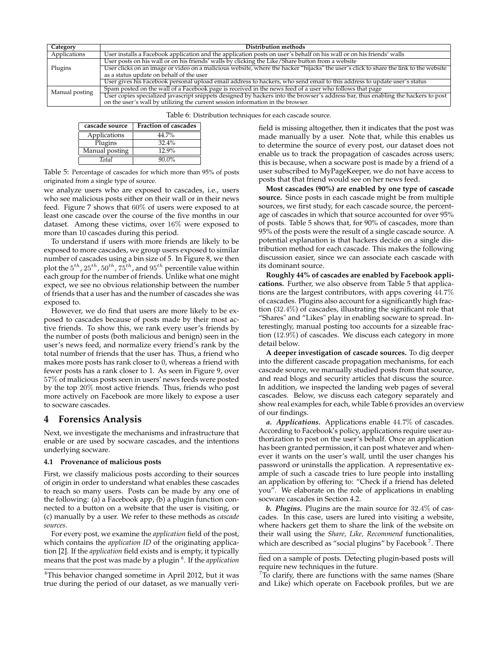| Category       | Distribution methods                                                                                                                  |
|----------------|---------------------------------------------------------------------------------------------------------------------------------------|
| Applications   | User installs a Facebook application and the application posts on user's behalf on his wall or on his friends' walls                  |
|                | User posts on his wall or on his friends' walls by clicking the Like/Share button from a website                                      |
| Plugins        | User clicks on an image or video on a malicious website, where the hacker "hijacks" the user's click to share the link to the website |
|                | as a status update on behalf of the user                                                                                              |
|                | User gives his Facebook personal upload email address to hackers, who send email to this address to update user's status              |
| Manual posting | Spam posted on the wall of a Facebook page is received in the news feed of a user who follows that page                               |
|                | User copies specialized javascript snippets designed by hackers into the browser's address bar, thus enabling the hackers to post     |
|                | on the user's wall by utilizing the current session information in the browser.                                                       |

Table 6: Distribution techniques for each cascade source.

| cascade source | <b>Fraction of cascades</b> |
|----------------|-----------------------------|
| Applications   | 44.7%                       |
| Plugins        | 32.4%                       |
| Manual posting | 12.9%                       |
| Total          | $90.0\%$                    |

Table 5: Percentage of cascades for which more than 95% of posts originated from a single type of source.

we analyze users who are exposed to cascades, i.e., users who see malicious posts either on their wall or in their news feed. Figure 7 shows that 60% of users were exposed to at least one cascade over the course of the five months in our dataset. Among these victims, over 16% were exposed to more than 10 cascades during this period.

To understand if users with more friends are likely to be exposed to more cascades, we group users exposed to similar number of cascades using a bin size of 5. In Figure 8, we then plot the  $5^{th}$ ,  $25^{th}$ ,  $50^{th}$ ,  $75^{th}$ , and  $95^{th}$  percentile value within each group for the number of friends. Unlike what one might expect, we see no obvious relationship between the number of friends that a user has and the number of cascades she was exposed to.

However, we do find that users are more likely to be exposed to cascades because of posts made by their most active friends. To show this, we rank every user's friends by the number of posts (both malicious and benign) seen in the user's news feed, and normalize every friend's rank by the total number of friends that the user has. Thus, a friend who makes more posts has rank closer to 0, whereas a friend with fewer posts has a rank closer to 1. As seen in Figure 9, over 57% of malicious posts seen in users' news feeds were posted by the top 20% most active friends. Thus, friends who post more actively on Facebook are more likely to expose a user to socware cascades.

## **4 Forensics Analysis**

Next, we investigate the mechanisms and infrastructure that enable or are used by socware cascades, and the intentions underlying socware.

#### **4.1 Provenance of malicious posts**

First, we classify malicious posts according to their sources of origin in order to understand what enables these cascades to reach so many users. Posts can be made by any one of the following: (a) a Facebook app, (b) a plugin function connected to a button on a website that the user is visiting, or (c) manually by a user. We refer to these methods as *cascade sources*.

For every post, we examine the *application* field of the post, which contains the *application ID* of the originating application [2]. If the *application* field exists and is empty, it typically means that the post was made by a plugin <sup>6</sup> . If the *application*

field is missing altogether, then it indicates that the post was made manually by a user. Note that, while this enables us to determine the source of every post, our dataset does not enable us to track the propagation of cascades across users; this is because, when a socware post is made by a friend of a user subscribed to MyPageKeeper, we do not have access to posts that that friend would see on her news feed.

**Most cascades (90%) are enabled by one type of cascade source.** Since posts in each cascade might be from multiple sources, we first study, for each cascade source, the percentage of cascades in which that source accounted for over 95% of posts. Table 5 shows that, for 90% of cascades, more than 95% of the posts were the result of a single cascade source. A potential explanation is that hackers decide on a single distribution method for each cascade. This makes the following discussion easier, since we can associate each cascade with its dominant source.

**Roughly 44% of cascades are enabled by Facebook applications.** Further, we also observe from Table 5 that applications are the largest contributors, with apps covering 44.7% of cascades. Plugins also account for a significantly high fraction (32.4%) of cascades, illustrating the significant role that "Shares" and "Likes" play in enabling socware to spread. Interestingly, manual posting too accounts for a sizeable fraction (12.9%) of cascades. We discuss each category in more detail below.

**A deeper investigation of cascade sources.** To dig deeper into the different cascade propagation mechanisms, for each cascade source, we manually studied posts from that source, and read blogs and security articles that discuss the source. In addition, we inspected the landing web pages of several cascades. Below, we discuss each category separately and show real examples for each, while Table 6 provides an overview of our findings.

*a. Applications.* Applications enable 44.7% of cascades. According to Facebook's policy, applications require user authorization to post on the user's behalf. Once an application has been granted permission, it can post whatever and whenever it wants on the user's wall, until the user changes his password or uninstalls the application. A representative example of such a cascade tries to lure people into installing an application by offering to: "Check if a friend has deleted you". We elaborate on the role of applications in enabling socware cascades in Section 4.2.

*b. Plugins.* Plugins are the main source for 32.4% of cascades. In this case, users are lured into visiting a website, where hackers get them to share the link of the website on their wall using the *Share, Like, Recommend* functionalities, which are described as "social plugins" by Facebook  $^7$ . There

 $6$ This behavior changed sometime in April 2012, but it was true during the period of our dataset, as we manually veri-

fied on a sample of posts. Detecting plugin-based posts will require new techniques in the future.

 $7T<sub>0</sub>$  clarify, there are functions with the same names (Share and Like) which operate on Facebook profiles, but we are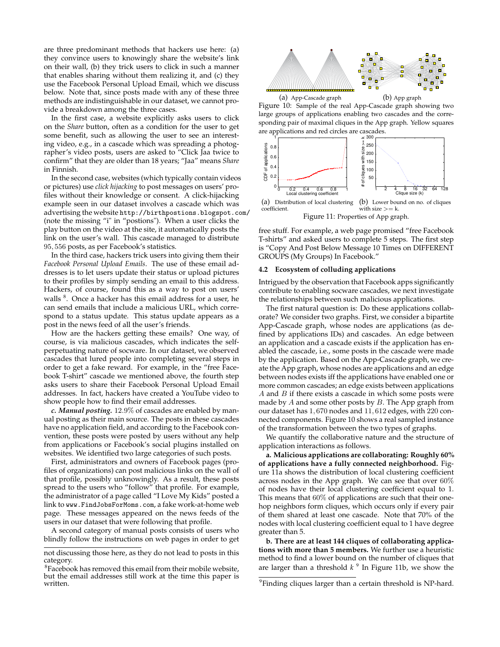are three predominant methods that hackers use here: (a) they convince users to knowingly share the website's link on their wall, (b) they trick users to click in such a manner that enables sharing without them realizing it, and (c) they use the Facebook Personal Upload Email, which we discuss below. Note that, since posts made with any of these three methods are indistinguishable in our dataset, we cannot provide a breakdown among the three cases.

In the first case, a website explicitly asks users to click on the *Share* button, often as a condition for the user to get some benefit, such as allowing the user to see an interesting video, e.g., in a cascade which was spreading a photographer's video posts, users are asked to "Click Jaa twice to confirm" that they are older than 18 years; "Jaa" means *Share* in Finnish.

In the second case, websites (which typically contain videos or pictures) use *click hijacking* to post messages on users' profiles without their knowledge or consent. A click-hijacking example seen in our dataset involves a cascade which was advertising the website http://birthpostions.blogspot.com/ (note the missing "i" in "postions"). When a user clicks the play button on the video at the site, it automatically posts the link on the user's wall. This cascade managed to distribute 95, 556 posts, as per Facebook's statistics.

In the third case, hackers trick users into giving them their *Facebook Personal Upload Emails*. The use of these email addresses is to let users update their status or upload pictures to their profiles by simply sending an email to this address. Hackers, of course, found this as a way to post on users' walls <sup>8</sup>. Once a hacker has this email address for a user, he can send emails that include a malicious URL, which correspond to a status update. This status update appears as a post in the news feed of all the user's friends.

How are the hackers getting these emails? One way, of course, is via malicious cascades, which indicates the selfperpetuating nature of socware. In our dataset, we observed cascades that lured people into completing several steps in order to get a fake reward. For example, in the "free Facebook T-shirt" cascade we mentioned above, the fourth step asks users to share their Facebook Personal Upload Email addresses. In fact, hackers have created a YouTube video to show people how to find their email addresses.

*c. Manual posting.* 12.9% of cascades are enabled by manual posting as their main source. The posts in these cascades have no application field, and according to the Facebook convention, these posts were posted by users without any help from applications or Facebook's social plugins installed on websites. We identified two large categories of such posts.

First, administrators and owners of Facebook pages (profiles of organizations) can post malicious links on the wall of that profile, possibly unknowingly. As a result, these posts spread to the users who "follow" that profile. For example, the administrator of a page called "I Love My Kids" posted a link to www.FindJobsForMoms.com, a fake work-at-home web page. These messages appeared on the news feeds of the users in our dataset that were following that profile.

A second category of manual posts consists of users who blindly follow the instructions on web pages in order to get



(a) App-Cascade graph (b) App graph Figure 10: Sample of the real App-Cascade graph showing two large groups of applications enabling two cascades and the corresponding pair of maximal cliques in the App graph. Yellow squares are applications and red circles are cascades.



Figure 11: Properties of App graph.

free stuff. For example, a web page promised "free Facebook T-shirts" and asked users to complete 5 steps. The first step is "Copy And Post Below Message 10 Times on DIFFERENT GROUPS (My Groups) In Facebook."

#### **4.2 Ecosystem of colluding applications**

Intrigued by the observation that Facebook apps significantly contribute to enabling socware cascades, we next investigate the relationships between such malicious applications.

The first natural question is: Do these applications collaborate? We consider two graphs. First, we consider a bipartite App-Cascade graph, whose nodes are applications (as defined by applications IDs) and cascades. An edge between an application and a cascade exists if the application has enabled the cascade, i.e., some posts in the cascade were made by the application. Based on the App-Cascade graph, we create the App graph, whose nodes are applications and an edge between nodes exists iff the applications have enabled one or more common cascades; an edge exists between applications  $A$  and  $B$  if there exists a cascade in which some posts were made by  $A$  and some other posts by  $B$ . The App graph from our dataset has 1, 670 nodes and 11, 612 edges, with 220 connected components. Figure 10 shows a real sampled instance of the transformation between the two types of graphs.

We quantify the collaborative nature and the structure of application interactions as follows.

**a. Malicious applications are collaborating: Roughly 60% of applications have a fully connected neighborhood.** Figure 11a shows the distribution of local clustering coefficient across nodes in the App graph. We can see that over 60% of nodes have their local clustering coefficient equal to 1. This means that 60% of applications are such that their onehop neighbors form cliques, which occurs only if every pair of them shared at least one cascade. Note that 70% of the nodes with local clustering coefficient equal to 1 have degree greater than 5.

**b. There are at least 144 cliques of collaborating applications with more than 5 members.** We further use a heuristic method to find a lower bound on the number of cliques that are larger than a threshold *k* 9 In Figure 11b, we show the

not discussing those here, as they do not lead to posts in this category.

 ${}^{8}$ Facebook has removed this email from their mobile website, but the email addresses still work at the time this paper is written.

 $9$ Finding cliques larger than a certain threshold is NP-hard.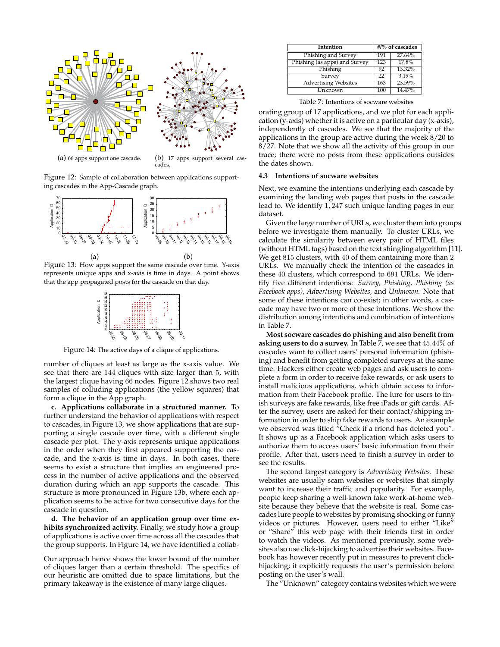

cades.

Figure 12: Sample of collaboration between applications supporting cascades in the App-Cascade graph.



Figure 13: How apps support the same cascade over time. Y-axis represents unique apps and x-axis is time in days. A point shows that the app propagated posts for the cascade on that day.



Figure 14: The active days of a clique of applications.

number of cliques at least as large as the x-axis value. We see that there are 144 cliques with size larger than 5, with the largest clique having 66 nodes. Figure 12 shows two real samples of colluding applications (the yellow squares) that form a clique in the App graph.

**c. Applications collaborate in a structured manner.** To further understand the behavior of applications with respect to cascades, in Figure 13, we show applications that are supporting a single cascade over time, with a different single cascade per plot. The y-axis represents unique applications in the order when they first appeared supporting the cascade, and the x-axis is time in days. In both cases, there seems to exist a structure that implies an engineered process in the number of active applications and the observed duration during which an app supports the cascade. This structure is more pronounced in Figure 13b, where each application seems to be active for two consecutive days for the cascade in question.

**d. The behavior of an application group over time exhibits synchronized activity.** Finally, we study how a group of applications is active over time across all the cascades that the group supports. In Figure 14, we have identified a collab-

| Intention                     | #/% of cascades |        |  |
|-------------------------------|-----------------|--------|--|
| Phishing and Survey           | 191             | 27.64% |  |
| Phishing (as apps) and Survey | 123             | 17.8%  |  |
| Phishing                      | 92              | 13.32% |  |
| Survey                        | 22              | 3.19%  |  |
| <b>Advertising Websites</b>   | 163             | 23.59% |  |
| Unknown                       | 100             | 14.47% |  |

Table 7: Intentions of socware websites

orating group of 17 applications, and we plot for each application (y-axis) whether it is active on a particular day (x-axis), independently of cascades. We see that the majority of the applications in the group are active during the week 8/20 to 8/27. Note that we show all the activity of this group in our trace; there were no posts from these applications outsides the dates shown.

#### **4.3 Intentions of socware websites**

Next, we examine the intentions underlying each cascade by examining the landing web pages that posts in the cascade lead to. We identify 1, 247 such unique landing pages in our dataset.

Given the large number of URLs, we cluster them into groups before we investigate them manually. To cluster URLs, we calculate the similarity between every pair of HTML files (without HTML tags) based on the text shingling algorithm [11]. We get 815 clusters, with 40 of them containing more than 2 URLs. We manually check the intention of the cascades in these 40 clusters, which correspond to 691 URLs. We identify five different intentions: *Survey, Phishing, Phishing (as Facebook apps), Advertising Websites,* and *Unknown.* Note that some of these intentions can co-exist; in other words, a cascade may have two or more of these intentions. We show the distribution among intentions and combination of intentions in Table 7.

**Most socware cascades do phishing and also benefit from asking users to do a survey.** In Table 7, we see that 45.44% of cascades want to collect users' personal information (phishing) and benefit from getting completed surveys at the same time. Hackers either create web pages and ask users to complete a form in order to receive fake rewards, or ask users to install malicious applications, which obtain access to information from their Facebook profile. The lure for users to finish surveys are fake rewards, like free iPads or gift cards. After the survey, users are asked for their contact/shipping information in order to ship fake rewards to users. An example we observed was titled "Check if a friend has deleted you". It shows up as a Facebook application which asks users to authorize them to access users' basic information from their profile. After that, users need to finish a survey in order to see the results.

The second largest category is *Advertising Websites*. These websites are usually scam websites or websites that simply want to increase their traffic and popularity. For example, people keep sharing a well-known fake work-at-home website because they believe that the website is real. Some cascades lure people to websites by promising shocking or funny videos or pictures. However, users need to either "Like" or "Share" this web page with their friends first in order to watch the videos. As mentioned previously, some websites also use click-hijacking to advertise their websites. Facebook has however recently put in measures to prevent clickhijacking; it explicitly requests the user's permission before posting on the user's wall.

The "Unknown" category contains websites which we were

Our approach hence shows the lower bound of the number of cliques larger than a certain threshold. The specifics of our heuristic are omitted due to space limitations, but the primary takeaway is the existence of many large cliques.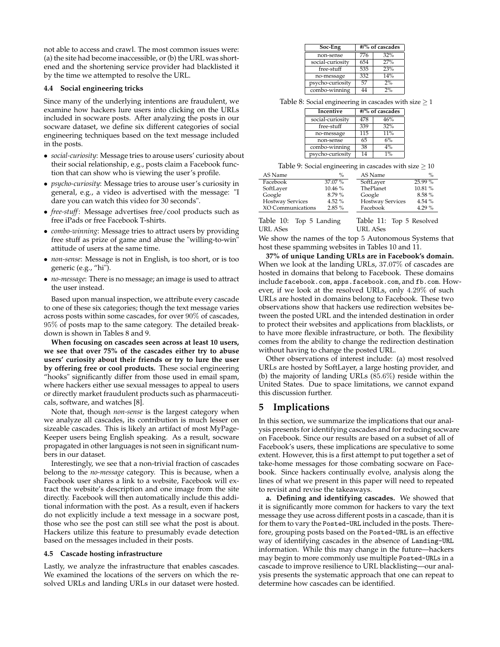not able to access and crawl. The most common issues were: (a) the site had become inaccessible, or (b) the URL was shortened and the shortening service provider had blacklisted it by the time we attempted to resolve the URL.

#### **4.4 Social engineering tricks**

Since many of the underlying intentions are fraudulent, we examine how hackers lure users into clicking on the URLs included in socware posts. After analyzing the posts in our socware dataset, we define six different categories of social engineering techniques based on the text message included in the posts.

- *social-curiosity*: Message tries to arouse users' curiosity about their social relationship, e.g., posts claim a Facebook function that can show who is viewing the user's profile.
- *psycho-curiosity*: Message tries to arouse user's curiosity in general, e.g., a video is advertised with the message: "I dare you can watch this video for 30 seconds".
- *free-stuff*: Message advertises free/cool products such as free iPads or free Facebook T-shirts.
- *combo-winning*: Message tries to attract users by providing free stuff as prize of game and abuse the "willing-to-win" attitude of users at the same time.
- *non-sense*: Message is not in English, is too short, or is too generic (e.g., "hi").
- *no-message*: There is no message; an image is used to attract the user instead.

Based upon manual inspection, we attribute every cascade to one of these six categories; though the text message varies across posts within some cascades, for over 90% of cascades, 95% of posts map to the same category. The detailed breakdown is shown in Tables 8 and 9.

**When focusing on cascades seen across at least 10 users, we see that over 75% of the cascades either try to abuse users' curiosity about their friends or try to lure the user by offering free or cool products.** These social engineering "hooks" significantly differ from those used in email spam, where hackers either use sexual messages to appeal to users or directly market fraudulent products such as pharmaceuticals, software, and watches [8].

Note that, though *non-sense* is the largest category when we analyze all cascades, its contribution is much lesser on sizeable cascades. This is likely an artifact of most MyPage-Keeper users being English speaking. As a result, socware propagated in other languages is not seen in significant numbers in our dataset.

Interestingly, we see that a non-trivial fraction of cascades belong to the *no-message* category. This is because, when a Facebook user shares a link to a website, Facebook will extract the website's description and one image from the site directly. Facebook will then automatically include this additional information with the post. As a result, even if hackers do not explicitly include a text message in a socware post, those who see the post can still see what the post is about. Hackers utilize this feature to presumably evade detection based on the messages included in their posts.

#### **4.5 Cascade hosting infrastructure**

Lastly, we analyze the infrastructure that enables cascades. We examined the locations of the servers on which the resolved URLs and landing URLs in our dataset were hosted.

| Soc-Eng          | #/% of cascades |     |
|------------------|-----------------|-----|
| non-sense        | 776             | 32% |
| social-curiosity | 654             | 27% |
| free-stuff       | 535             | 23% |
| no-message       | 332             | 14% |
| psycho-curiosity | 57              | 2%  |
| combo-winning    | 44              | 2%  |

Table 8: Social engineering in cascades with size  $\geq 1$ 

| Incentive        | #/% of cascades |     |
|------------------|-----------------|-----|
| social-curiosity | 478             | 46% |
| free-stuff       | 339             | 32% |
| no-message       | 115             | 11% |
| non-sense        | 65              | 6%  |
| combo-winning    | 38              | 4%  |
| psycho-curiosity | 14              | 1%  |

Table 9: Social engineering in cascades with size  $> 10$ 

| AS Name                 | $\%$    | AS Name                 | $\%$      |
|-------------------------|---------|-------------------------|-----------|
| Facebook                | 37.07 % | SoftLayer               | $25.99\%$ |
| SoftLayer               | 10.46 % | ThePlanet               | 10.81%    |
| Google                  | 8.79%   | Google                  | 8.58%     |
| <b>Hostway Services</b> | 4.52%   | <b>Hostway Services</b> | 4.54%     |
| XO Communications       | 2.85%   | Facebook                | 4.29%     |
|                         |         |                         |           |

Table 10: Top 5 Landing URL ASes Table 11: Top 5 Resolved URL ASes

We show the names of the top 5 Autonomous Systems that host these spamming websites in Tables 10 and 11.

**37% of unique Landing URLs are in Facebook's domain.** When we look at the landing URLs, 37.07% of cascades are hosted in domains that belong to Facebook. These domains include facebook.com, apps.facebook.com, and fb.com. However, if we look at the resolved URLs, only 4.29% of such URLs are hosted in domains belong to Facebook. These two observations show that hackers use redirection websites between the posted URL and the intended destination in order to protect their websites and applications from blacklists, or to have more flexible infrastructure, or both. The flexibility comes from the ability to change the redirection destination without having to change the posted URL.

Other observations of interest include: (a) most resolved URLs are hosted by SoftLayer, a large hosting provider, and (b) the majority of landing URLs (85.6%) reside within the United States. Due to space limitations, we cannot expand this discussion further.

# **5 Implications**

In this section, we summarize the implications that our analysis presents for identifying cascades and for reducing socware on Facebook. Since our results are based on a subset of all of Facebook's users, these implications are speculative to some extent. However, this is a first attempt to put together a set of take-home messages for those combating socware on Facebook. Since hackers continually evolve, analysis along the lines of what we present in this paper will need to repeated to revisit and revise the takeaways.

**a. Defining and identifying cascades.** We showed that it is significantly more common for hackers to vary the text message they use across different posts in a cascade, than it is for them to vary the Posted-URL included in the posts. Therefore, grouping posts based on the Posted-URL is an effective way of identifying cascades in the absence of Landing-URL information. While this may change in the future—hackers may begin to more commonly use multiple Posted-URLs in a cascade to improve resilience to URL blacklisting—our analysis presents the systematic approach that one can repeat to determine how cascades can be identified.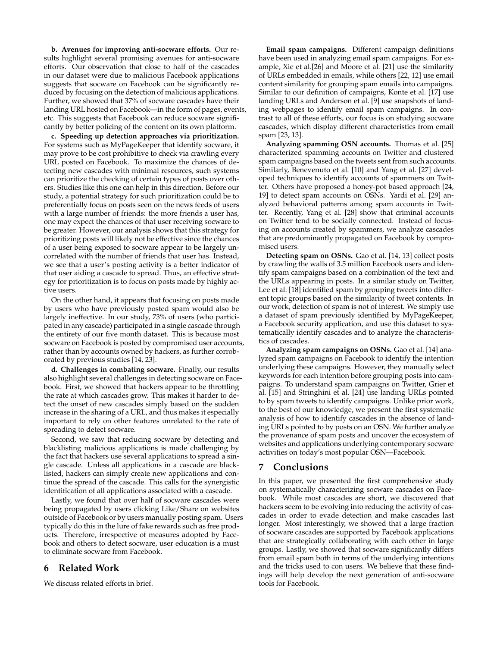**b. Avenues for improving anti-socware efforts.** Our results highlight several promising avenues for anti-socware efforts. Our observation that close to half of the cascades in our dataset were due to malicious Facebook applications suggests that socware on Facebook can be significantly reduced by focusing on the detection of malicious applications. Further, we showed that 37% of socware cascades have their landing URL hosted on Facebook—in the form of pages, events, etc. This suggests that Facebook can reduce socware significantly by better policing of the content on its own platform.

**c. Speeding up detection approaches via prioritization.** For systems such as MyPageKeeper that identify socware, it may prove to be cost prohibitive to check via crawling every URL posted on Facebook. To maximize the chances of detecting new cascades with minimal resources, such systems can prioritize the checking of certain types of posts over others. Studies like this one can help in this direction. Before our study, a potential strategy for such prioritization could be to preferentially focus on posts seen on the news feeds of users with a large number of friends: the more friends a user has, one may expect the chances of that user receiving socware to be greater. However, our analysis shows that this strategy for prioritizing posts will likely not be effective since the chances of a user being exposed to socware appear to be largely uncorrelated with the number of friends that user has. Instead, we see that a user's posting activity is a better indicator of that user aiding a cascade to spread. Thus, an effective strategy for prioritization is to focus on posts made by highly active users.

On the other hand, it appears that focusing on posts made by users who have previously posted spam would also be largely ineffective. In our study, 73% of users (who participated in any cascade) participated in a single cascade through the entirety of our five month dataset. This is because most socware on Facebook is posted by compromised user accounts, rather than by accounts owned by hackers, as further corroborated by previous studies [14, 23].

**d. Challenges in combating socware.** Finally, our results also highlight several challenges in detecting socware on Facebook. First, we showed that hackers appear to be throttling the rate at which cascades grow. This makes it harder to detect the onset of new cascades simply based on the sudden increase in the sharing of a URL, and thus makes it especially important to rely on other features unrelated to the rate of spreading to detect socware.

Second, we saw that reducing socware by detecting and blacklisting malicious applications is made challenging by the fact that hackers use several applications to spread a single cascade. Unless all applications in a cascade are blacklisted, hackers can simply create new applications and continue the spread of the cascade. This calls for the synergistic identification of all applications associated with a cascade.

Lastly, we found that over half of socware cascades were being propagated by users clicking Like/Share on websites outside of Facebook or by users manually posting spam. Users typically do this in the lure of fake rewards such as free products. Therefore, irrespective of measures adopted by Facebook and others to detect socware, user education is a must to eliminate socware from Facebook.

## **6 Related Work**

We discuss related efforts in brief.

**Email spam campaigns.** Different campaign definitions have been used in analyzing email spam campaigns. For example, Xie et al.[26] and Moore et al. [21] use the similarity of URLs embedded in emails, while others [22, 12] use email content similarity for grouping spam emails into campaigns. Similar to our definition of campaigns, Konte et al. [17] use landing URLs and Anderson et al. [9] use snapshots of landing webpages to identify email spam campaigns. In contrast to all of these efforts, our focus is on studying socware cascades, which display different characteristics from email spam [23, 13].

**Analyzing spamming OSN accounts.** Thomas et al. [25] characterized spamming accounts on Twitter and clustered spam campaigns based on the tweets sent from such accounts. Similarly, Benevenuto et al. [10] and Yang et al. [27] developed techniques to identify accounts of spammers on Twitter. Others have proposed a honey-pot based approach [24, 19] to detect spam accounts on OSNs. Yardi et al. [29] analyzed behavioral patterns among spam accounts in Twitter. Recently, Yang et al. [28] show that criminal accounts on Twitter tend to be socially connected. Instead of focusing on accounts created by spammers, we analyze cascades that are predominantly propagated on Facebook by compromised users.

**Detecting spam on OSNs.** Gao et al. [14, 13] collect posts by crawling the walls of 3.5 million Facebook users and identify spam campaigns based on a combination of the text and the URLs appearing in posts. In a similar study on Twitter, Lee et al. [18] identified spam by grouping tweets into different topic groups based on the similarity of tweet contents. In our work, detection of spam is not of interest. We simply use a dataset of spam previously identified by MyPageKeeper, a Facebook security application, and use this dataset to systematically identify cascades and to analyze the characteristics of cascades.

**Analyzing spam campaigns on OSNs.** Gao et al. [14] analyzed spam campaigns on Facebook to identify the intention underlying these campaigns. However, they manually select keywords for each intention before grouping posts into campaigns. To understand spam campaigns on Twitter, Grier et al. [15] and Stringhini et al. [24] use landing URLs pointed to by spam tweets to identify campaigns. Unlike prior work, to the best of our knowledge, we present the first systematic analysis of how to identify cascades in the absence of landing URLs pointed to by posts on an OSN. We further analyze the provenance of spam posts and uncover the ecosystem of websites and applications underlying contemporary socware activities on today's most popular OSN—Facebook.

## **7 Conclusions**

In this paper, we presented the first comprehensive study on systematically characterizing socware cascades on Facebook. While most cascades are short, we discovered that hackers seem to be evolving into reducing the activity of cascades in order to evade detection and make cascades last longer. Most interestingly, we showed that a large fraction of socware cascades are supported by Facebook applications that are strategically collaborating with each other in large groups. Lastly, we showed that socware significantly differs from email spam both in terms of the underlying intentions and the tricks used to con users. We believe that these findings will help develop the next generation of anti-socware tools for Facebook.